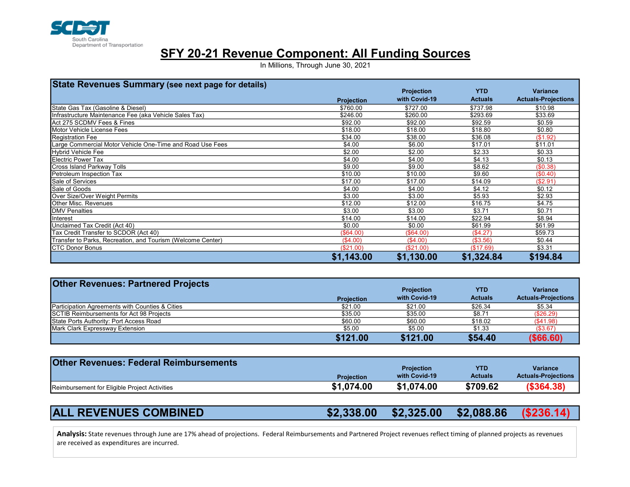

## SFY 20-21 Revenue Component: All Funding Sources

In Millions, Through June 30, 2021

| State Revenues Summary (see next page for details)          |                   |                   |                |                            |
|-------------------------------------------------------------|-------------------|-------------------|----------------|----------------------------|
|                                                             |                   | <b>Projection</b> | <b>YTD</b>     | <b>Variance</b>            |
|                                                             | <b>Projection</b> | with Covid-19     | <b>Actuals</b> | <b>Actuals-Projections</b> |
| State Gas Tax (Gasoline & Diesel)                           | \$760.00          | \$727.00          | \$737.98       | \$10.98                    |
| Infrastructure Maintenance Fee (aka Vehicle Sales Tax)      | \$246.00          | \$260.00          | \$293.69       | \$33.69                    |
| Act 275 SCDMV Fees & Fines                                  | \$92.00           | \$92.00           | \$92.59        | \$0.59                     |
| Motor Vehicle License Fees                                  | \$18.00           | \$18.00           | \$18.80        | \$0.80                     |
| Registration Fee                                            | \$34.00           | \$38.00           | \$36.08        | (\$1.92)                   |
| Large Commercial Motor Vehicle One-Time and Road Use Fees   | \$4.00            | \$6.00            | \$17.01        | \$11.01                    |
| Hybrid Vehicle Fee                                          | \$2.00            | \$2.00            | \$2.33         | \$0.33                     |
| <b>I</b> Electric Power Tax                                 | \$4.00            | \$4.00            | \$4.13         | \$0.13                     |
| Cross Island Parkway Tolls                                  | \$9.00            | \$9.00            | \$8.62         | (\$0.38)                   |
| Petroleum Inspection Tax                                    | \$10.00           | \$10.00           | \$9.60         | (\$0.40)                   |
| Sale of Services                                            | \$17.00           | \$17.00           | \$14.09        | (\$2.91)                   |
| Sale of Goods                                               | \$4.00            | \$4.00            | \$4.12         | \$0.12                     |
| Over Size/Over Weight Permits                               | \$3.00            | \$3.00            | \$5.93         | \$2.93                     |
| Other Misc. Revenues                                        | \$12.00           | \$12.00           | \$16.75        | \$4.75                     |
| <b>DMV Penalties</b>                                        | \$3.00            | \$3.00            | \$3.71         | \$0.71                     |
| Interest                                                    | \$14.00           | \$14.00           | \$22.94        | \$8.94                     |
| Unclaimed Tax Credit (Act 40)                               | \$0.00            | \$0.00            | \$61.99        | \$61.99                    |
| Tax Credit Transfer to SCDOR (Act 40)                       | (\$64.00)         | (\$64.00)         | (\$4.27)       | \$59.73                    |
| Transfer to Parks, Recreation, and Tourism (Welcome Center) | (\$4.00)          | (\$4.00)          | $(\$3.56)$     | \$0.44                     |
| <b>ICTC Donor Bonus</b>                                     | (\$21.00)         | (\$21.00)         | (\$17.69)      | \$3.31                     |
|                                                             | \$1,143.00        | \$1,130.00        | \$1,324.84     | \$194.84                   |

| Tax Credit Transfer to SCDOR (ACt 40)                                                                                                                                    | ι Φυ <del>4</del> .υυ j  | , PU4.UU                                         | (14.ZI)                                  | ⊅ບອ.≀ ບ                                                     |
|--------------------------------------------------------------------------------------------------------------------------------------------------------------------------|--------------------------|--------------------------------------------------|------------------------------------------|-------------------------------------------------------------|
| Transfer to Parks, Recreation, and Tourism (Welcome Center)                                                                                                              | (\$4.00)                 | (\$4.00)                                         | (\$3.56)                                 | \$0.44                                                      |
| CTC Donor Bonus                                                                                                                                                          | (\$21.00)                | (\$21.00)                                        | (\$17.69)                                | \$3.31                                                      |
|                                                                                                                                                                          | \$1,143.00               | \$1,130.00                                       | \$1,324.84                               | \$194.84                                                    |
|                                                                                                                                                                          |                          |                                                  |                                          |                                                             |
|                                                                                                                                                                          |                          |                                                  |                                          |                                                             |
| <b>Other Revenues: Partnered Projects</b>                                                                                                                                |                          |                                                  |                                          |                                                             |
|                                                                                                                                                                          |                          | <b>Projection</b>                                | <b>YTD</b>                               | <b>Variance</b>                                             |
|                                                                                                                                                                          | <b>Projection</b>        | with Covid-19                                    | <b>Actuals</b>                           | <b>Actuals-Projections</b>                                  |
| Participation Agreements with Counties & Cities                                                                                                                          | \$21.00                  | \$21.00                                          | \$26.34                                  | \$5.34                                                      |
| SCTIB Reimbursements for Act 98 Projects                                                                                                                                 | \$35.00                  | \$35.00                                          | \$8.71                                   | (\$26.29)                                                   |
| State Ports Authority: Port Access Road                                                                                                                                  | \$60.00                  | \$60.00                                          | \$18.02                                  | (\$41.98)                                                   |
| Mark Clark Expressway Extension                                                                                                                                          | \$5.00                   | \$5.00                                           | \$1.33                                   | (\$3.67)                                                    |
|                                                                                                                                                                          | \$121.00                 | \$121.00                                         | \$54.40                                  | $($ \$66.60)                                                |
|                                                                                                                                                                          |                          |                                                  |                                          |                                                             |
|                                                                                                                                                                          | Projection<br>\$1,074.00 | <b>Projection</b><br>with Covid-19<br>\$1,074.00 | <b>YTD</b><br><b>Actuals</b><br>\$709.62 | <b>Variance</b><br><b>Actuals-Projections</b><br>(\$364.38) |
| Reimbursement for Eligible Project Activities                                                                                                                            |                          |                                                  |                                          |                                                             |
|                                                                                                                                                                          |                          |                                                  |                                          |                                                             |
| <b>ALL REVENUES COMBINED</b>                                                                                                                                             | \$2,338.00               | \$2,325.00                                       | \$2,088.86                               | (\$236.14)                                                  |
|                                                                                                                                                                          |                          |                                                  |                                          |                                                             |
| Analysis: State revenues through June are 17% ahead of projections. Federal Reimbursements and Partnered Project revenues reflect timing of planned projects as revenues |                          |                                                  |                                          |                                                             |
|                                                                                                                                                                          |                          |                                                  |                                          |                                                             |
|                                                                                                                                                                          |                          |                                                  |                                          |                                                             |
| are received as expenditures are incurred.                                                                                                                               |                          |                                                  |                                          |                                                             |

| <b>Other Revenues: Federal Reimbursements</b> |                   | <b>Projection</b> | YTD            | <b>Variance</b>            |
|-----------------------------------------------|-------------------|-------------------|----------------|----------------------------|
|                                               | <b>Projection</b> | with Covid-19     | <b>Actuals</b> | <b>Actuals-Projections</b> |
| Reimbursement for Eligible Project Activities | \$1,074.00        | \$1.074.00        | \$709.62       | ( \$364.38)                |

## ALL REVENUES COMBINED **\$2,338.00 \$2,325.00 \$2,088.86 (\$236.14**)